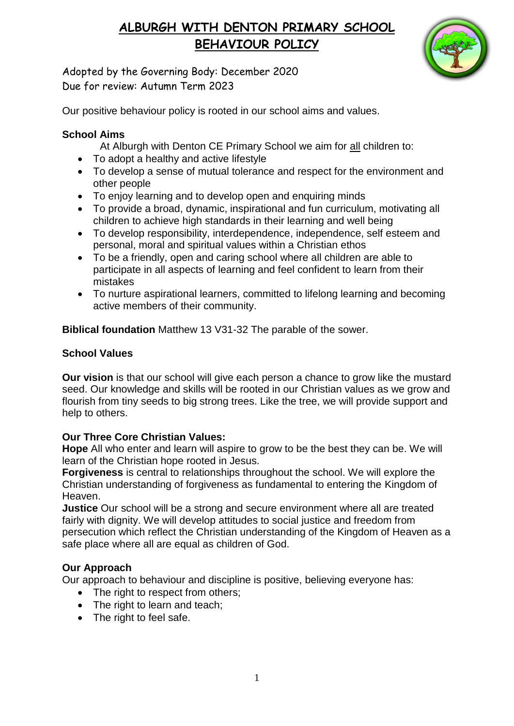

Adopted by the Governing Body: December 2020 Due for review: Autumn Term 2023

Our positive behaviour policy is rooted in our school aims and values.

### **School Aims**

- At Alburgh with Denton CE Primary School we aim for all children to:
- To adopt a healthy and active lifestyle
- To develop a sense of mutual tolerance and respect for the environment and other people
- To enjoy learning and to develop open and enquiring minds
- To provide a broad, dynamic, inspirational and fun curriculum, motivating all children to achieve high standards in their learning and well being
- To develop responsibility, interdependence, independence, self esteem and personal, moral and spiritual values within a Christian ethos
- To be a friendly, open and caring school where all children are able to participate in all aspects of learning and feel confident to learn from their mistakes
- To nurture aspirational learners, committed to lifelong learning and becoming active members of their community.

**Biblical foundation** Matthew 13 V31-32 The parable of the sower.

### **School Values**

**Our vision** is that our school will give each person a chance to grow like the mustard seed. Our knowledge and skills will be rooted in our Christian values as we grow and flourish from tiny seeds to big strong trees. Like the tree, we will provide support and help to others.

### **Our Three Core Christian Values:**

**Hope** All who enter and learn will aspire to grow to be the best they can be. We will learn of the Christian hope rooted in Jesus.

**Forgiveness** is central to relationships throughout the school. We will explore the Christian understanding of forgiveness as fundamental to entering the Kingdom of Heaven.

**Justice** Our school will be a strong and secure environment where all are treated fairly with dignity. We will develop attitudes to social justice and freedom from persecution which reflect the Christian understanding of the Kingdom of Heaven as a safe place where all are equal as children of God.

### **Our Approach**

Our approach to behaviour and discipline is positive, believing everyone has:

- The right to respect from others;
- The right to learn and teach;
- The right to feel safe.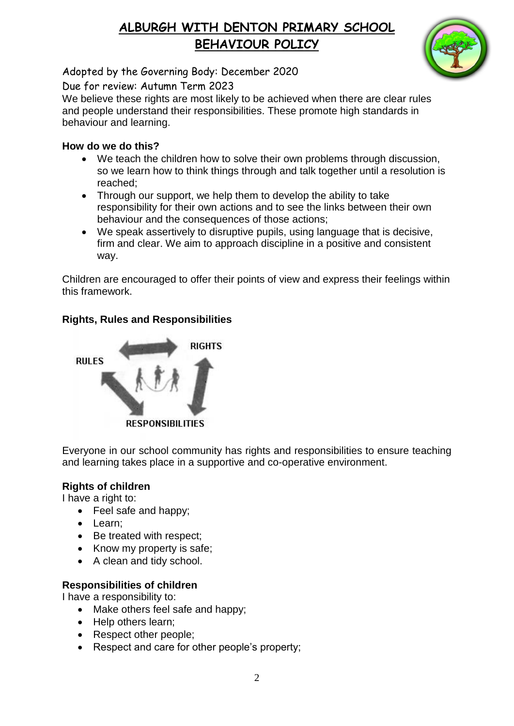

Adopted by the Governing Body: December 2020

Due for review: Autumn Term 2023

We believe these rights are most likely to be achieved when there are clear rules and people understand their responsibilities. These promote high standards in behaviour and learning.

#### **How do we do this?**

- We teach the children how to solve their own problems through discussion, so we learn how to think things through and talk together until a resolution is reached;
- Through our support, we help them to develop the ability to take responsibility for their own actions and to see the links between their own behaviour and the consequences of those actions;
- We speak assertively to disruptive pupils, using language that is decisive, firm and clear. We aim to approach discipline in a positive and consistent way.

Children are encouraged to offer their points of view and express their feelings within this framework.

### **Rights, Rules and Responsibilities**



Everyone in our school community has rights and responsibilities to ensure teaching and learning takes place in a supportive and co-operative environment.

#### **Rights of children**

I have a right to:

- Feel safe and happy;
- Learn;
- Be treated with respect;
- Know my property is safe;
- A clean and tidy school.

### **Responsibilities of children**

I have a responsibility to:

- Make others feel safe and happy;
- Help others learn;
- Respect other people;
- Respect and care for other people's property;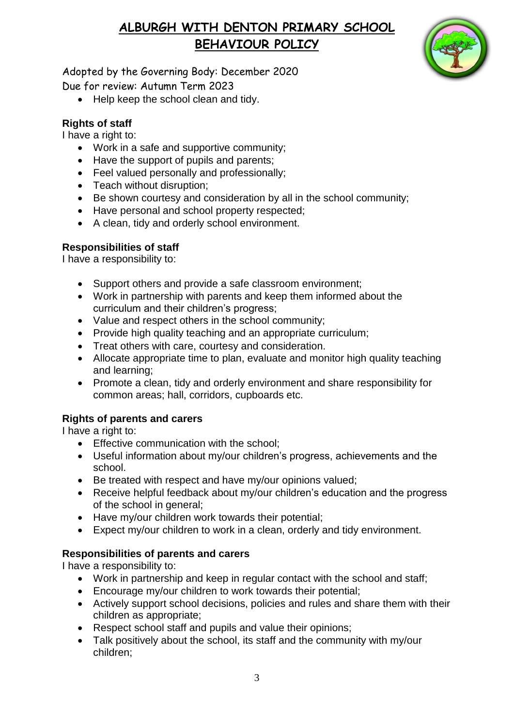

Adopted by the Governing Body: December 2020 Due for review: Autumn Term 2023

• Help keep the school clean and tidy.

### **Rights of staff**

I have a right to:

- Work in a safe and supportive community;
- Have the support of pupils and parents;
- Feel valued personally and professionally;
- Teach without disruption:
- Be shown courtesy and consideration by all in the school community;
- Have personal and school property respected;
- A clean, tidy and orderly school environment.

#### **Responsibilities of staff**

I have a responsibility to:

- Support others and provide a safe classroom environment;
- Work in partnership with parents and keep them informed about the curriculum and their children's progress;
- Value and respect others in the school community;
- Provide high quality teaching and an appropriate curriculum;
- Treat others with care, courtesy and consideration.
- Allocate appropriate time to plan, evaluate and monitor high quality teaching and learning;
- Promote a clean, tidy and orderly environment and share responsibility for common areas; hall, corridors, cupboards etc.

### **Rights of parents and carers**

I have a right to:

- **•** Effective communication with the school:
- Useful information about my/our children's progress, achievements and the school.
- Be treated with respect and have my/our opinions valued;
- Receive helpful feedback about my/our children's education and the progress of the school in general;
- Have my/our children work towards their potential;
- Expect my/our children to work in a clean, orderly and tidy environment.

### **Responsibilities of parents and carers**

I have a responsibility to:

- Work in partnership and keep in regular contact with the school and staff;
- Encourage my/our children to work towards their potential;
- Actively support school decisions, policies and rules and share them with their children as appropriate;
- Respect school staff and pupils and value their opinions;
- Talk positively about the school, its staff and the community with my/our children;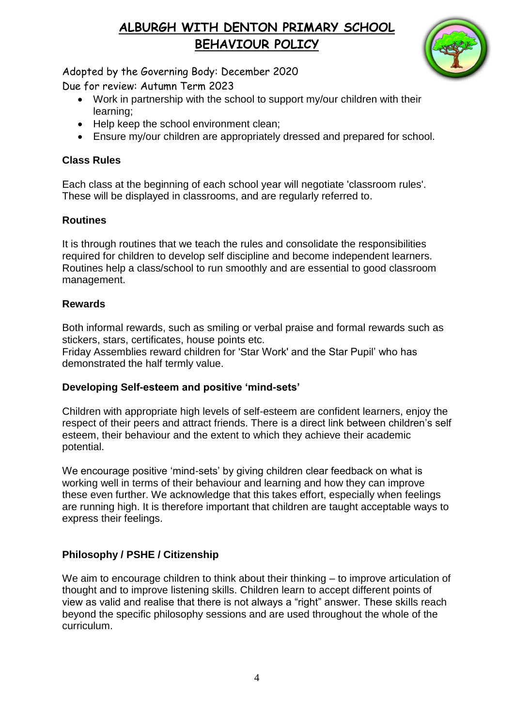

Adopted by the Governing Body: December 2020

Due for review: Autumn Term 2023

- Work in partnership with the school to support my/our children with their learning;
- Help keep the school environment clean;
- Ensure my/our children are appropriately dressed and prepared for school.

### **Class Rules**

Each class at the beginning of each school year will negotiate 'classroom rules'. These will be displayed in classrooms, and are regularly referred to.

### **Routines**

It is through routines that we teach the rules and consolidate the responsibilities required for children to develop self discipline and become independent learners. Routines help a class/school to run smoothly and are essential to good classroom management.

### **Rewards**

Both informal rewards, such as smiling or verbal praise and formal rewards such as stickers, stars, certificates, house points etc.

Friday Assemblies reward children for 'Star Work' and the Star Pupil' who has demonstrated the half termly value.

### **Developing Self-esteem and positive 'mind-sets'**

Children with appropriate high levels of self-esteem are confident learners, enjoy the respect of their peers and attract friends. There is a direct link between children's self esteem, their behaviour and the extent to which they achieve their academic potential.

We encourage positive 'mind-sets' by giving children clear feedback on what is working well in terms of their behaviour and learning and how they can improve these even further. We acknowledge that this takes effort, especially when feelings are running high. It is therefore important that children are taught acceptable ways to express their feelings.

## **Philosophy / PSHE / Citizenship**

We aim to encourage children to think about their thinking – to improve articulation of thought and to improve listening skills. Children learn to accept different points of view as valid and realise that there is not always a "right" answer. These skills reach beyond the specific philosophy sessions and are used throughout the whole of the curriculum.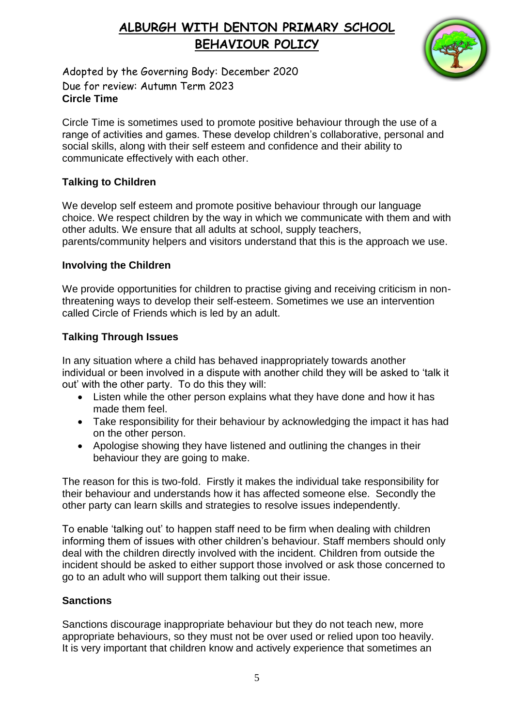

Adopted by the Governing Body: December 2020 Due for review: Autumn Term 2023 **Circle Time**

Circle Time is sometimes used to promote positive behaviour through the use of a range of activities and games. These develop children's collaborative, personal and social skills, along with their self esteem and confidence and their ability to communicate effectively with each other.

#### **Talking to Children**

We develop self esteem and promote positive behaviour through our language choice. We respect children by the way in which we communicate with them and with other adults. We ensure that all adults at school, supply teachers, parents/community helpers and visitors understand that this is the approach we use.

#### **Involving the Children**

We provide opportunities for children to practise giving and receiving criticism in nonthreatening ways to develop their self-esteem. Sometimes we use an intervention called Circle of Friends which is led by an adult.

### **Talking Through Issues**

In any situation where a child has behaved inappropriately towards another individual or been involved in a dispute with another child they will be asked to 'talk it out' with the other party. To do this they will:

- Listen while the other person explains what they have done and how it has made them feel.
- Take responsibility for their behaviour by acknowledging the impact it has had on the other person.
- Apologise showing they have listened and outlining the changes in their behaviour they are going to make.

The reason for this is two-fold. Firstly it makes the individual take responsibility for their behaviour and understands how it has affected someone else. Secondly the other party can learn skills and strategies to resolve issues independently.

To enable 'talking out' to happen staff need to be firm when dealing with children informing them of issues with other children's behaviour. Staff members should only deal with the children directly involved with the incident. Children from outside the incident should be asked to either support those involved or ask those concerned to go to an adult who will support them talking out their issue.

#### **Sanctions**

Sanctions discourage inappropriate behaviour but they do not teach new, more appropriate behaviours, so they must not be over used or relied upon too heavily. It is very important that children know and actively experience that sometimes an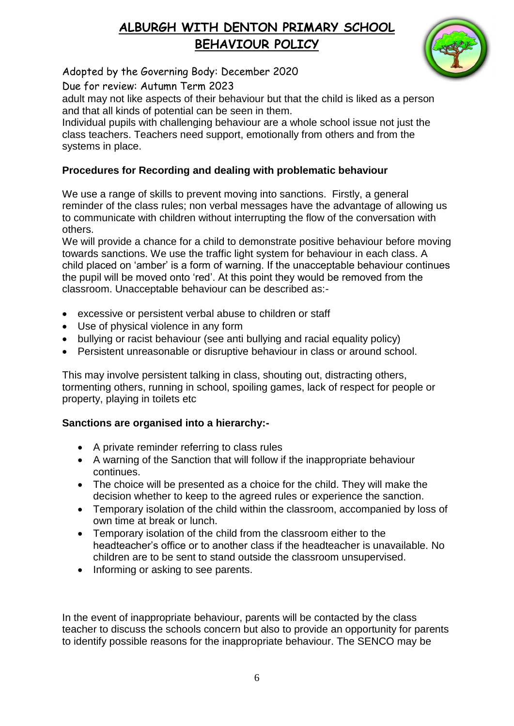

Adopted by the Governing Body: December 2020

Due for review: Autumn Term 2023

adult may not like aspects of their behaviour but that the child is liked as a person and that all kinds of potential can be seen in them.

Individual pupils with challenging behaviour are a whole school issue not just the class teachers. Teachers need support, emotionally from others and from the systems in place.

## **Procedures for Recording and dealing with problematic behaviour**

We use a range of skills to prevent moving into sanctions. Firstly, a general reminder of the class rules; non verbal messages have the advantage of allowing us to communicate with children without interrupting the flow of the conversation with others.

We will provide a chance for a child to demonstrate positive behaviour before moving towards sanctions. We use the traffic light system for behaviour in each class. A child placed on 'amber' is a form of warning. If the unacceptable behaviour continues the pupil will be moved onto 'red'. At this point they would be removed from the classroom. Unacceptable behaviour can be described as:-

- excessive or persistent verbal abuse to children or staff
- Use of physical violence in any form
- bullying or racist behaviour (see anti bullying and racial equality policy)
- Persistent unreasonable or disruptive behaviour in class or around school.

This may involve persistent talking in class, shouting out, distracting others, tormenting others, running in school, spoiling games, lack of respect for people or property, playing in toilets etc

### **Sanctions are organised into a hierarchy:-**

- A private reminder referring to class rules
- A warning of the Sanction that will follow if the inappropriate behaviour continues.
- The choice will be presented as a choice for the child. They will make the decision whether to keep to the agreed rules or experience the sanction.
- Temporary isolation of the child within the classroom, accompanied by loss of own time at break or lunch.
- Temporary isolation of the child from the classroom either to the headteacher's office or to another class if the headteacher is unavailable. No children are to be sent to stand outside the classroom unsupervised.
- Informing or asking to see parents.

In the event of inappropriate behaviour, parents will be contacted by the class teacher to discuss the schools concern but also to provide an opportunity for parents to identify possible reasons for the inappropriate behaviour. The SENCO may be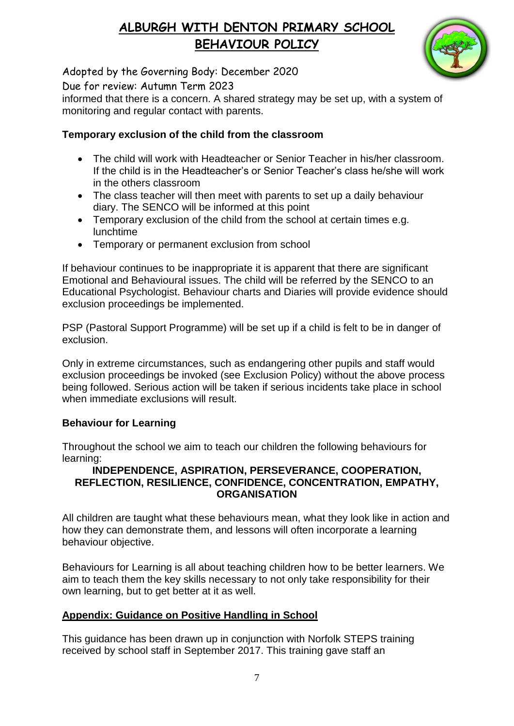

Adopted by the Governing Body: December 2020

Due for review: Autumn Term 2023

informed that there is a concern. A shared strategy may be set up, with a system of monitoring and regular contact with parents.

#### **Temporary exclusion of the child from the classroom**

- The child will work with Headteacher or Senior Teacher in his/her classroom. If the child is in the Headteacher's or Senior Teacher's class he/she will work in the others classroom
- The class teacher will then meet with parents to set up a daily behaviour diary. The SENCO will be informed at this point
- Temporary exclusion of the child from the school at certain times e.g. lunchtime
- Temporary or permanent exclusion from school

If behaviour continues to be inappropriate it is apparent that there are significant Emotional and Behavioural issues. The child will be referred by the SENCO to an Educational Psychologist. Behaviour charts and Diaries will provide evidence should exclusion proceedings be implemented.

PSP (Pastoral Support Programme) will be set up if a child is felt to be in danger of exclusion.

Only in extreme circumstances, such as endangering other pupils and staff would exclusion proceedings be invoked (see Exclusion Policy) without the above process being followed. Serious action will be taken if serious incidents take place in school when immediate exclusions will result.

### **Behaviour for Learning**

Throughout the school we aim to teach our children the following behaviours for learning:

#### **INDEPENDENCE, ASPIRATION, PERSEVERANCE, COOPERATION, REFLECTION, RESILIENCE, CONFIDENCE, CONCENTRATION, EMPATHY, ORGANISATION**

All children are taught what these behaviours mean, what they look like in action and how they can demonstrate them, and lessons will often incorporate a learning behaviour objective.

Behaviours for Learning is all about teaching children how to be better learners. We aim to teach them the key skills necessary to not only take responsibility for their own learning, but to get better at it as well.

#### **Appendix: Guidance on Positive Handling in School**

This guidance has been drawn up in conjunction with Norfolk STEPS training received by school staff in September 2017. This training gave staff an